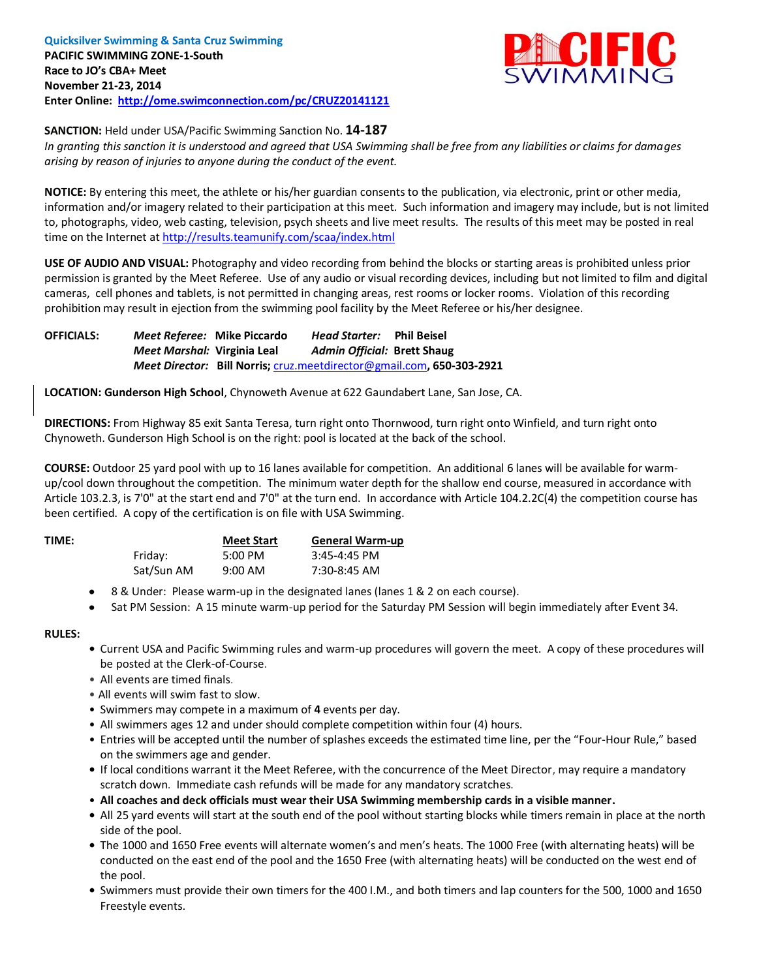

**SANCTION:** Held under USA/Pacific Swimming Sanction No. **14-187**

*In granting this sanction it is understood and agreed that USA Swimming shall be free from any liabilities or claims for damages arising by reason of injuries to anyone during the conduct of the event.*

**NOTICE:** By entering this meet, the athlete or his/her guardian consents to the publication, via electronic, print or other media, information and/or imagery related to their participation at this meet. Such information and imagery may include, but is not limited to, photographs, video, web casting, television, psych sheets and live meet results. The results of this meet may be posted in real time on the Internet a[t http://results.teamunify.com/scaa/index.html](http://results.teamunify.com/scaa/index.html)

**USE OF AUDIO AND VISUAL:** Photography and video recording from behind the blocks or starting areas is prohibited unless prior permission is granted by the Meet Referee. Use of any audio or visual recording devices, including but not limited to film and digital cameras, cell phones and tablets, is not permitted in changing areas, rest rooms or locker rooms. Violation of this recording prohibition may result in ejection from the swimming pool facility by the Meet Referee or his/her designee.

**OFFICIALS:** *Meet Referee:* **Mike Piccardo** *Head Starter:* **Phil Beisel** *Meet Marshal:* **Virginia Leal** *Admin Official:* **Brett Shaug** *Meet Director:* **Bill Norris;** [cruz.meetdirector@gmail.com](mailto:cruz.meetdirector@gmail.com)**, 650-303-2921**

**LOCATION: Gunderson High School**, Chynoweth Avenue at 622 Gaundabert Lane, San Jose, CA.

**DIRECTIONS:** From Highway 85 exit Santa Teresa, turn right onto Thornwood, turn right onto Winfield, and turn right onto Chynoweth. Gunderson High School is on the right: pool is located at the back of the school.

**COURSE:** Outdoor 25 yard pool with up to 16 lanes available for competition.An additional 6 lanes will be available for warmup/cool down throughout the competition. The minimum water depth for the shallow end course, measured in accordance with Article 103.2.3, is 7'0" at the start end and 7'0" at the turn end. In accordance with Article 104.2.2C(4) the competition course has been certified. A copy of the certification is on file with USA Swimming.

| TIME: |            | <b>Meet Start</b> | <b>General Warm-up</b> |
|-------|------------|-------------------|------------------------|
|       | Friday:    | 5:00 PM           | $3:45-4:45$ PM         |
|       | Sat/Sun AM | $9:00$ AM         | 7:30-8:45 AM           |

- 8 & Under: Please warm-up in the designated lanes (lanes 1 & 2 on each course).
- Sat PM Session: A 15 minute warm-up period for the Saturday PM Session will begin immediately after Event 34.

#### **RULES:**

- Current USA and Pacific Swimming rules and warm-up procedures will govern the meet. A copy of these procedures will be posted at the Clerk-of-Course.
- All events are timed finals.
- All events will swim fast to slow.
- Swimmers may compete in a maximum of **4** events per day.
- All swimmers ages 12 and under should complete competition within four (4) hours.
- Entries will be accepted until the number of splashes exceeds the estimated time line, per the "Four-Hour Rule," based on the swimmers age and gender.
- If local conditions warrant it the Meet Referee, with the concurrence of the Meet Director, may require a mandatory scratch down. Immediate cash refunds will be made for any mandatory scratches.
- **All coaches and deck officials must wear their USA Swimming membership cards in a visible manner.**
- All 25 yard events will start at the south end of the pool without starting blocks while timers remain in place at the north side of the pool.
- The 1000 and 1650 Free events will alternate women's and men's heats. The 1000 Free (with alternating heats) will be conducted on the east end of the pool and the 1650 Free (with alternating heats) will be conducted on the west end of the pool.
- Swimmers must provide their own timers for the 400 I.M., and both timers and lap counters for the 500, 1000 and 1650 Freestyle events.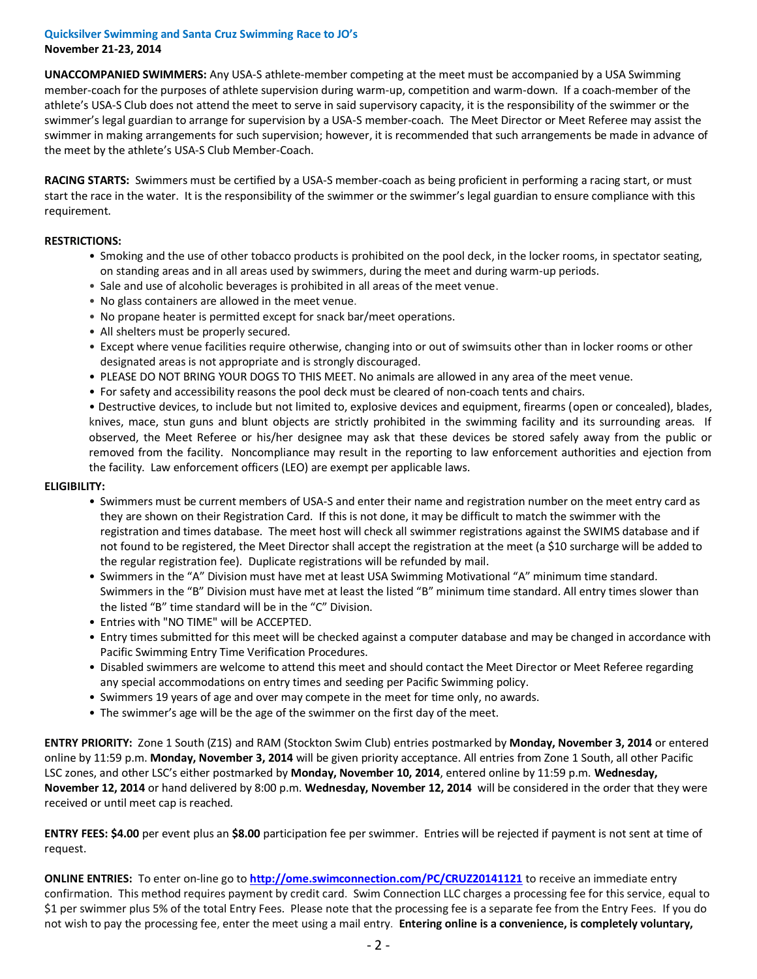#### **Quicksilver Swimming and Santa Cruz Swimming Race to JO's November 21-23, 2014**

**UNACCOMPANIED SWIMMERS:** Any USA-S athlete-member competing at the meet must be accompanied by a USA Swimming member-coach for the purposes of athlete supervision during warm-up, competition and warm-down. If a coach-member of the athlete's USA-S Club does not attend the meet to serve in said supervisory capacity, it is the responsibility of the swimmer or the swimmer's legal guardian to arrange for supervision by a USA-S member-coach. The Meet Director or Meet Referee may assist the swimmer in making arrangements for such supervision; however, it is recommended that such arrangements be made in advance of the meet by the athlete's USA-S Club Member-Coach.

**RACING STARTS:** Swimmers must be certified by a USA-S member-coach as being proficient in performing a racing start, or must start the race in the water. It is the responsibility of the swimmer or the swimmer's legal guardian to ensure compliance with this requirement.

#### **RESTRICTIONS:**

- Smoking and the use of other tobacco products is prohibited on the pool deck, in the locker rooms, in spectator seating, on standing areas and in all areas used by swimmers, during the meet and during warm-up periods.
- Sale and use of alcoholic beverages is prohibited in all areas of the meet venue.
- No glass containers are allowed in the meet venue.
- No propane heater is permitted except for snack bar/meet operations.
- All shelters must be properly secured.
- Except where venue facilities require otherwise, changing into or out of swimsuits other than in locker rooms or other designated areas is not appropriate and is strongly discouraged.
- PLEASE DO NOT BRING YOUR DOGS TO THIS MEET. No animals are allowed in any area of the meet venue.
- For safety and accessibility reasons the pool deck must be cleared of non-coach tents and chairs.

• Destructive devices, to include but not limited to, explosive devices and equipment, firearms (open or concealed), blades, knives, mace, stun guns and blunt objects are strictly prohibited in the swimming facility and its surrounding areas. If observed, the Meet Referee or his/her designee may ask that these devices be stored safely away from the public or removed from the facility. Noncompliance may result in the reporting to law enforcement authorities and ejection from the facility. Law enforcement officers (LEO) are exempt per applicable laws.

#### **ELIGIBILITY:**

- Swimmers must be current members of USA-S and enter their name and registration number on the meet entry card as they are shown on their Registration Card. If this is not done, it may be difficult to match the swimmer with the registration and times database. The meet host will check all swimmer registrations against the SWIMS database and if not found to be registered, the Meet Director shall accept the registration at the meet (a \$10 surcharge will be added to the regular registration fee). Duplicate registrations will be refunded by mail.
- Swimmers in the "A" Division must have met at least USA Swimming Motivational "A" minimum time standard. Swimmers in the "B" Division must have met at least the listed "B" minimum time standard. All entry times slower than the listed "B" time standard will be in the "C" Division.
- Entries with "NO TIME" will be ACCEPTED.
- Entry times submitted for this meet will be checked against a computer database and may be changed in accordance with Pacific Swimming Entry Time Verification Procedures.
- Disabled swimmers are welcome to attend this meet and should contact the Meet Director or Meet Referee regarding any special accommodations on entry times and seeding per Pacific Swimming policy.
- Swimmers 19 years of age and over may compete in the meet for time only, no awards.
- The swimmer's age will be the age of the swimmer on the first day of the meet.

**ENTRY PRIORITY:** Zone 1 South (Z1S) and RAM (Stockton Swim Club) entries postmarked by **Monday, November 3, 2014** or entered online by 11:59 p.m. **Monday, November 3, 2014** will be given priority acceptance. All entries from Zone 1 South, all other Pacific LSC zones, and other LSC's either postmarked by **Monday, November 10, 2014**, entered online by 11:59 p.m. **Wednesday, November 12, 2014** or hand delivered by 8:00 p.m. **Wednesday, November 12, 2014** will be considered in the order that they were received or until meet cap is reached.

**ENTRY FEES: \$4.00** per event plus an **\$8.00** participation fee per swimmer. Entries will be rejected if payment is not sent at time of request.

**ONLINE ENTRIES:** To enter on-line go to **<http://ome.swimconnection.com/PC/CRUZ20141121>** to receive an immediate entry confirmation. This method requires payment by credit card. Swim Connection LLC charges a processing fee for this service, equal to \$1 per swimmer plus 5% of the total Entry Fees. Please note that the processing fee is a separate fee from the Entry Fees. If you do not wish to pay the processing fee, enter the meet using a mail entry. **Entering online is a convenience, is completely voluntary,**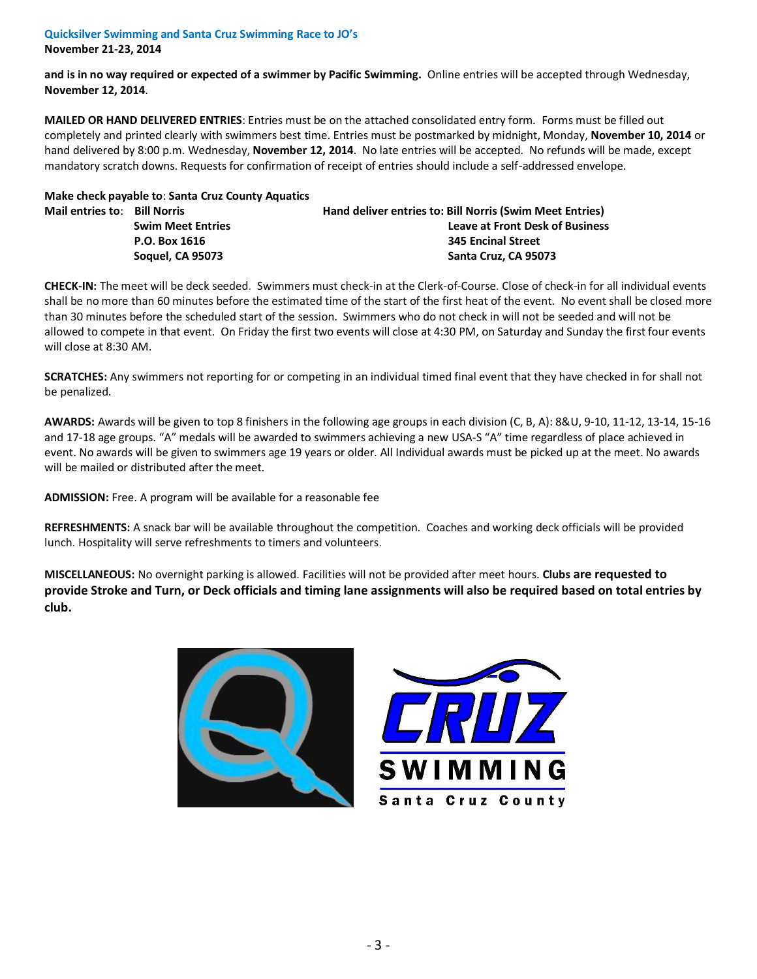## **Quicksilver Swimming and Santa Cruz Swimming Race to JO's**

**November 21-23, 2014** 

**and is in no way required or expected of a swimmer by Pacific Swimming.** Online entries will be accepted through Wednesday, **November 12, 2014**.

**MAILED OR HAND DELIVERED ENTRIES**: Entries must be on the attached consolidated entry form. Forms must be filled out completely and printed clearly with swimmers best time. Entries must be postmarked by midnight, Monday, **November 10, 2014** or hand delivered by 8:00 p.m. Wednesday, **November 12, 2014**. No late entries will be accepted. No refunds will be made, except mandatory scratch downs. Requests for confirmation of receipt of entries should include a self-addressed envelope.

|                              | Make check payable to: Santa Cruz County Aquatics |                                                          |  |  |  |  |
|------------------------------|---------------------------------------------------|----------------------------------------------------------|--|--|--|--|
| Mail entries to: Bill Norris |                                                   | Hand deliver entries to: Bill Norris (Swim Meet Entries) |  |  |  |  |
|                              | <b>Swim Meet Entries</b>                          | <b>Leave at Front Desk of Business</b>                   |  |  |  |  |
|                              | P.O. Box 1616                                     | <b>345 Encinal Street</b>                                |  |  |  |  |
|                              | <b>Soquel, CA 95073</b>                           | Santa Cruz, CA 95073                                     |  |  |  |  |

**CHECK-IN:** The meet will be deck seeded. Swimmers must check-in at the Clerk-of-Course. Close of check-in for all individual events shall be no more than 60 minutes before the estimated time of the start of the first heat of the event. No event shall be closed more than 30 minutes before the scheduled start of the session. Swimmers who do not check in will not be seeded and will not be allowed to compete in that event. On Friday the first two events will close at 4:30 PM, on Saturday and Sunday the first four events will close at 8:30 AM.

**SCRATCHES:** Any swimmers not reporting for or competing in an individual timed final event that they have checked in for shall not be penalized.

**AWARDS:** Awards will be given to top 8 finishers in the following age groups in each division (C, B, A): 8&U, 9-10, 11-12, 13-14, 15-16 and 17-18 age groups. "A" medals will be awarded to swimmers achieving a new USA-S "A" time regardless of place achieved in event. No awards will be given to swimmers age 19 years or older. All Individual awards must be picked up at the meet. No awards will be mailed or distributed after the meet.

**ADMISSION:** Free. A program will be available for a reasonable fee

**REFRESHMENTS:** A snack bar will be available throughout the competition. Coaches and working deck officials will be provided lunch. Hospitality will serve refreshments to timers and volunteers.

**MISCELLANEOUS:** No overnight parking is allowed. Facilities will not be provided after meet hours. **Clubs are requested to provide Stroke and Turn, or Deck officials and timing lane assignments will also be required based on total entries by club.**



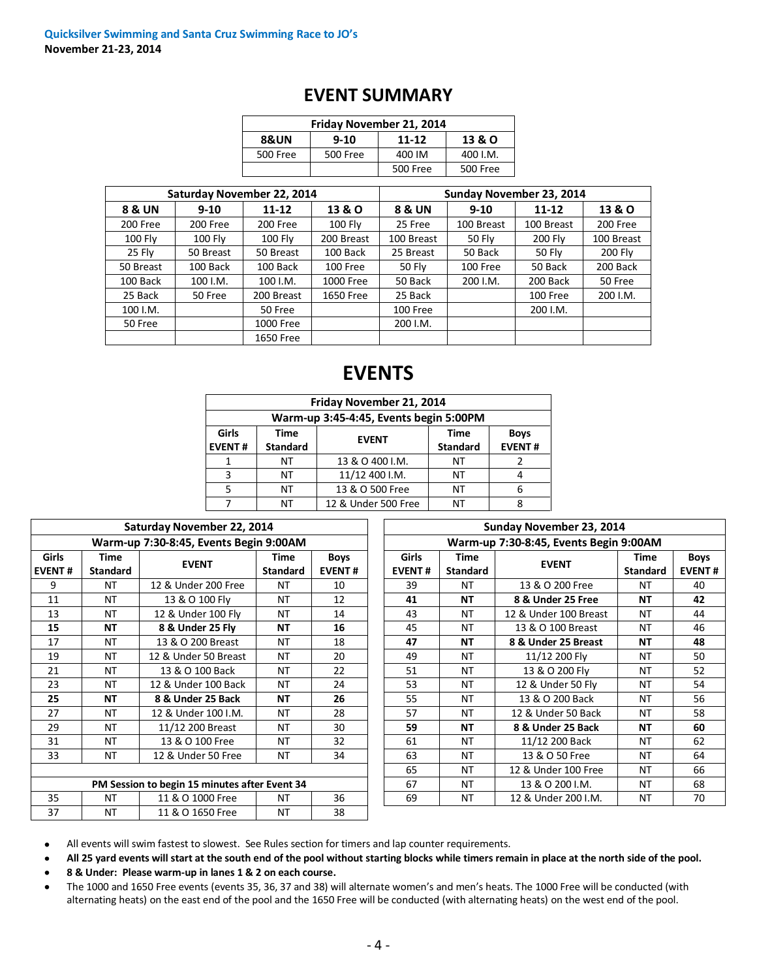| Friday November 21, 2014                         |          |          |          |  |  |  |  |  |
|--------------------------------------------------|----------|----------|----------|--|--|--|--|--|
| <b>8&amp;UN</b><br>13 & O<br>$9-10$<br>$11 - 12$ |          |          |          |  |  |  |  |  |
| 500 Free                                         | 500 Free | 400 IM   | 400 I.M. |  |  |  |  |  |
|                                                  |          | 500 Free | 500 Free |  |  |  |  |  |

### **EVENT SUMMARY**

|                   |           | Saturday November 22, 2014 |                | Sunday November 23, 2014 |            |                 |            |  |  |
|-------------------|-----------|----------------------------|----------------|--------------------------|------------|-----------------|------------|--|--|
| <b>8 &amp; UN</b> | $9-10$    | $11 - 12$                  | 13 & O         | 8 & UN                   | $9 - 10$   | $11 - 12$       | 13 & O     |  |  |
| 200 Free          | 200 Free  | 200 Free                   | <b>100 Flv</b> | 25 Free                  | 100 Breast | 100 Breast      | 200 Free   |  |  |
| 100 Fly           | 100 Fly   | $100$ Fly                  | 200 Breast     | 100 Breast               | 50 Fly     | 200 Fly         | 100 Breast |  |  |
| 25 Fly            | 50 Breast | 50 Breast                  | 100 Back       | 25 Breast                | 50 Back    | <b>50 Fly</b>   | 200 Fly    |  |  |
| 50 Breast         | 100 Back  | 100 Back                   | 100 Free       | 50 Fly                   | 100 Free   | 50 Back         | 200 Back   |  |  |
| 100 Back          | 100 I.M.  | 100 I.M.                   | 1000 Free      | 50 Back                  | 200 I.M.   | 200 Back        | 50 Free    |  |  |
| 25 Back           | 50 Free   | 200 Breast                 | 1650 Free      | 25 Back                  |            | <b>100 Free</b> | 200 I.M.   |  |  |
| 100 I.M.          |           | 50 Free                    |                | 100 Free                 |            | 200 I.M.        |            |  |  |
| 50 Free           |           | 1000 Free                  |                | 200 I.M.                 |            |                 |            |  |  |
|                   |           | 1650 Free                  |                |                          |            |                 |            |  |  |

# **EVENTS**

| Friday November 21, 2014                                           |                                        |                     |                 |               |  |  |  |  |  |  |
|--------------------------------------------------------------------|----------------------------------------|---------------------|-----------------|---------------|--|--|--|--|--|--|
|                                                                    | Warm-up 3:45-4:45, Events begin 5:00PM |                     |                 |               |  |  |  |  |  |  |
| Girls<br><b>Time</b><br><b>Time</b><br><b>Boys</b><br><b>EVENT</b> |                                        |                     |                 |               |  |  |  |  |  |  |
| <b>EVENT#</b>                                                      | <b>Standard</b>                        |                     | <b>Standard</b> | <b>EVENT#</b> |  |  |  |  |  |  |
|                                                                    | NT                                     | 13 & O 400 I.M.     | NT              |               |  |  |  |  |  |  |
| 3                                                                  | NT                                     | 11/12 400 I.M.      | NT              | 4             |  |  |  |  |  |  |
|                                                                    | NT                                     | 13 & O 500 Free     | NT              | 6             |  |  |  |  |  |  |
|                                                                    | NT                                     | 12 & Under 500 Free | NT              | Զ             |  |  |  |  |  |  |

|                                                                 |           | Saturday November 22, 2014                    |                         |                       |                               |                         | Sunday November 23, 2014               |                         |                    |
|-----------------------------------------------------------------|-----------|-----------------------------------------------|-------------------------|-----------------------|-------------------------------|-------------------------|----------------------------------------|-------------------------|--------------------|
|                                                                 |           | Warm-up 7:30-8:45, Events Begin 9:00AM        |                         |                       |                               |                         | Warm-up 7:30-8:45, Events Begin 9:00AM |                         |                    |
| <b>Girls</b><br><b>Time</b><br><b>EVENT#</b><br><b>Standard</b> |           | <b>EVENT</b>                                  | Time<br><b>Standard</b> | Boys<br><b>EVENT#</b> | <b>Girls</b><br><b>EVENT#</b> | Time<br><b>Standard</b> | <b>EVENT</b>                           | Time<br><b>Standard</b> | Boy<br><b>EVEN</b> |
| 9                                                               | <b>NT</b> | 12 & Under 200 Free                           | NT                      | 10                    | 39                            | <b>NT</b>               | 13 & O 200 Free                        | NT                      | 40                 |
| 11                                                              | NT        | 13 & O 100 Fly                                | NT                      | 12                    | 41                            | NΤ                      | 8 & Under 25 Free                      | NΤ                      | 42                 |
| 13                                                              | <b>NT</b> | 12 & Under 100 Fly                            | NT                      | 14                    | 43                            | <b>NT</b>               | 12 & Under 100 Breast                  | NT                      | 44                 |
| 15                                                              | <b>NT</b> | 8 & Under 25 Fly                              | <b>NT</b>               | 16                    | 45                            | <b>NT</b>               | 13 & O 100 Breast                      | NT                      | 46                 |
| 17                                                              | <b>NT</b> | 13 & O 200 Breast                             | NT                      | 18                    | 47                            | NΤ                      | 8 & Under 25 Breast                    | NΤ                      | 48                 |
| 19                                                              | <b>NT</b> | 12 & Under 50 Breast                          | <b>NT</b>               | 20                    | 49                            | <b>NT</b>               | 11/12 200 Flv                          | NT                      | 50                 |
| 21                                                              | <b>NT</b> | 13 & O 100 Back                               | NT                      | 22                    | 51                            | <b>NT</b>               | 13 & O 200 Flv                         | NT                      | 52                 |
| 23                                                              | <b>NT</b> | 12 & Under 100 Back                           | <b>NT</b>               | 24                    | 53                            | <b>NT</b>               | 12 & Under 50 Fly                      | <b>NT</b>               | 54                 |
| 25                                                              | NT        | 8 & Under 25 Back                             | <b>NT</b>               | 26                    | 55                            | <b>NT</b>               | 13 & O 200 Back                        | NT                      | 56                 |
| 27                                                              | <b>NT</b> | 12 & Under 100 I.M.                           | NT                      | 28                    | 57                            | <b>NT</b>               | 12 & Under 50 Back                     | NT                      | 58                 |
| 29                                                              | NT        | 11/12 200 Breast                              | NT                      | 30                    | 59                            | NΤ                      | 8 & Under 25 Back                      | NΤ                      | 60                 |
| 31                                                              | <b>NT</b> | 13 & O 100 Free                               | NT                      | 32                    | 61                            | <b>NT</b>               | 11/12 200 Back                         | NT                      | 62                 |
| 33                                                              | NT        | 12 & Under 50 Free                            | NT                      | 34                    | 63                            | <b>NT</b>               | 13 & O 50 Free                         | NT                      | 64                 |
|                                                                 |           |                                               |                         |                       | 65                            | <b>NT</b>               | 12 & Under 100 Free                    | NT                      | 66                 |
|                                                                 |           | PM Session to begin 15 minutes after Event 34 |                         |                       | 67                            | <b>NT</b>               | 13 & O 200 I.M.                        | NT                      | 68                 |
| 35                                                              | <b>NT</b> | 11 & O 1000 Free                              | NT                      | 36                    | 69                            | <b>NT</b>               | 12 & Under 200 I.M.                    | NT                      | 70                 |
| 37                                                              | <b>NT</b> | 11 & O 1650 Free                              | <b>NT</b>               | 38                    |                               |                         |                                        |                         |                    |

| Sunday November 23, 2014               |                         |                       |                         |                              |  |  |  |  |  |
|----------------------------------------|-------------------------|-----------------------|-------------------------|------------------------------|--|--|--|--|--|
| Warm-up 7:30-8:45, Events Begin 9:00AM |                         |                       |                         |                              |  |  |  |  |  |
| <b>Girls</b><br><b>EVENT#</b>          | Time<br><b>Standard</b> | <b>EVENT</b>          | Time<br><b>Standard</b> | <b>Boys</b><br><b>EVENT#</b> |  |  |  |  |  |
| 39                                     | NT                      | 13 & O 200 Free       | NΤ                      | 40                           |  |  |  |  |  |
| 41                                     | NΤ                      | 8 & Under 25 Free     | NΤ                      | 42                           |  |  |  |  |  |
| 43                                     | NT                      | 12 & Under 100 Breast | <b>NT</b>               | 44                           |  |  |  |  |  |
| 45                                     | <b>NT</b>               | 13 & O 100 Breast     | <b>NT</b>               | 46                           |  |  |  |  |  |
| 47                                     | <b>NT</b>               | 8 & Under 25 Breast   | <b>NT</b>               | 48                           |  |  |  |  |  |
| 49                                     | NT                      | 11/12 200 Fly         | NΤ                      | 50                           |  |  |  |  |  |
| 51                                     | NT                      | 13 & O 200 Fly        | NΤ                      | 52                           |  |  |  |  |  |
| 53                                     | NT                      | 12 & Under 50 Fly     | NΤ                      | 54                           |  |  |  |  |  |
| 55                                     | NT                      | 13 & O 200 Back       | NΤ                      | 56                           |  |  |  |  |  |
| 57                                     | <b>NT</b>               | 12 & Under 50 Back    | <b>NT</b>               | 58                           |  |  |  |  |  |
| 59                                     | NΤ                      | 8 & Under 25 Back     | <b>NT</b>               | 60                           |  |  |  |  |  |
| 61                                     | <b>NT</b>               | 11/12 200 Back        | NΤ                      | 62                           |  |  |  |  |  |
| 63                                     | NT                      | 13 & O 50 Free        | NΤ                      | 64                           |  |  |  |  |  |
| 65                                     | NT                      | 12 & Under 100 Free   | NΤ                      | 66                           |  |  |  |  |  |
| 67                                     | NT                      | 13 & O 200 I.M.       | NΤ                      | 68                           |  |  |  |  |  |
| 69                                     | NT                      | 12 & Under 200 I.M.   | ΝT                      | 70                           |  |  |  |  |  |

All events will swim fastest to slowest. See Rules section for timers and lap counter requirements.  $\bullet$ 

**All 25 yard events will start at the south end of the pool without starting blocks while timers remain in place at the north side of the pool.** 

**8 & Under: Please warm-up in lanes 1 & 2 on each course.**  $\bullet$ 

The 1000 and 1650 Free events (events 35, 36, 37 and 38) will alternate women's and men's heats. The 1000 Free will be conducted (with  $\bullet$ alternating heats) on the east end of the pool and the 1650 Free will be conducted (with alternating heats) on the west end of the pool.